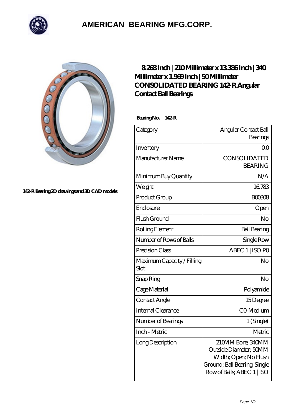

## **[AMERICAN BEARING MFG.CORP.](https://m.geragogik.net)**



**[142-R Bearing 2D drawings and 3D CAD models](https://m.geragogik.net/pic-181338.html)**

## **[8.268 Inch | 210 Millimeter x 13.386 Inch | 340](https://m.geragogik.net/bz-181338-consolidated-bearing-142-r-angular-contact-ball-bearings.html) [Millimeter x 1.969 Inch | 50 Millimeter](https://m.geragogik.net/bz-181338-consolidated-bearing-142-r-angular-contact-ball-bearings.html) [CONSOLIDATED BEARING 142-R Angular](https://m.geragogik.net/bz-181338-consolidated-bearing-142-r-angular-contact-ball-bearings.html) [Contact Ball Bearings](https://m.geragogik.net/bz-181338-consolidated-bearing-142-r-angular-contact-ball-bearings.html)**

 **Bearing No. 142-R**

| Category                           | Angular Contact Ball         |
|------------------------------------|------------------------------|
|                                    | Bearings                     |
| Inventory                          | 0 <sub>0</sub>               |
| Manufacturer Name                  | <b>CONSOLIDATED</b>          |
|                                    | <b>BEARING</b>               |
| Minimum Buy Quantity               | N/A                          |
| Weight                             | 16783                        |
| Product Group                      | <b>BOO308</b>                |
| Enclosure                          | Open                         |
| Flush Ground                       | No                           |
| Rolling Element                    | <b>Ball Bearing</b>          |
| Number of Rows of Balls            | Single Row                   |
| Precision Class                    | ABEC 1   ISO PO              |
| Maximum Capacity / Filling<br>Slot | No                           |
| Snap Ring                          | No                           |
| Cage Material                      | Polyamide                    |
| Contact Angle                      | 15Degree                     |
| <b>Internal Clearance</b>          | CO-Medium                    |
| Number of Bearings                 | 1 (Single)                   |
| Inch - Metric                      | Metric                       |
| Long Description                   | 210MM Bore; 340MM            |
|                                    | Outside Diameter; 50MM       |
|                                    | Width; Open; No Flush        |
|                                    | Ground; Ball Bearing; Single |
|                                    | Row of Balls, ABEC 1   ISO   |
|                                    |                              |